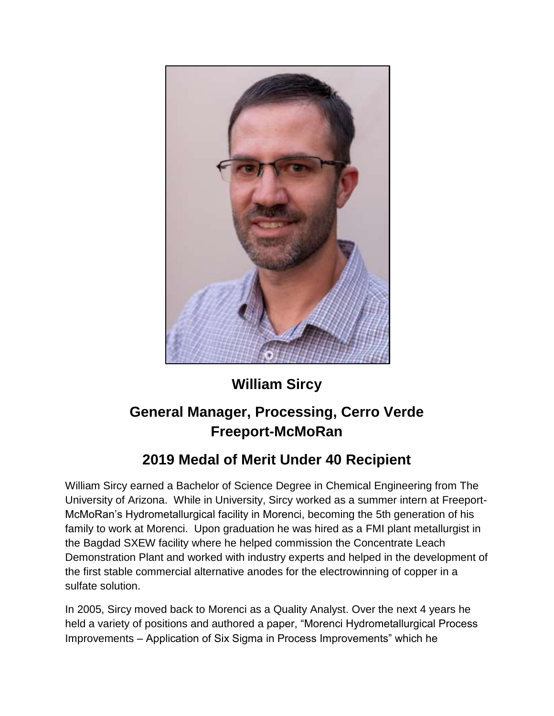

## **William Sircy**

## **General Manager, Processing, Cerro Verde Freeport-McMoRan**

## **2019 Medal of Merit Under 40 Recipient**

William Sircy earned a Bachelor of Science Degree in Chemical Engineering from The University of Arizona. While in University, Sircy worked as a summer intern at Freeport-McMoRan's Hydrometallurgical facility in Morenci, becoming the 5th generation of his family to work at Morenci. Upon graduation he was hired as a FMI plant metallurgist in the Bagdad SXEW facility where he helped commission the Concentrate Leach Demonstration Plant and worked with industry experts and helped in the development of the first stable commercial alternative anodes for the electrowinning of copper in a sulfate solution.

In 2005, Sircy moved back to Morenci as a Quality Analyst. Over the next 4 years he held a variety of positions and authored a paper, "Morenci Hydrometallurgical Process Improvements – Application of Six Sigma in Process Improvements" which he